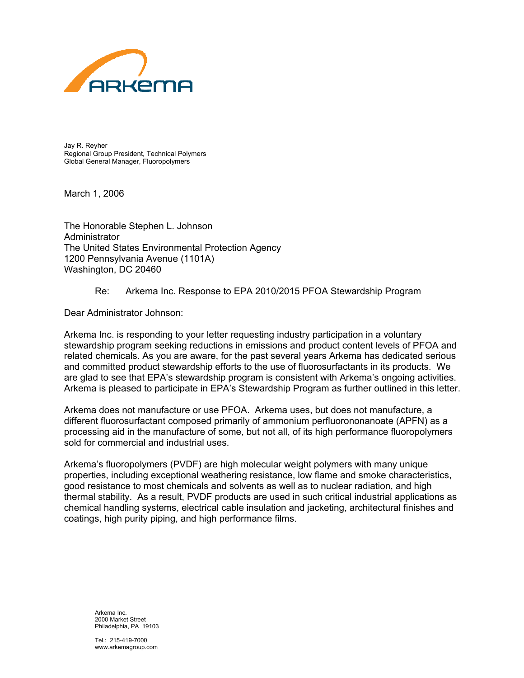

Jay R. Reyher Regional Group President, Technical Polymers Global General Manager, Fluoropolymers

March 1, 2006

The Honorable Stephen L. Johnson Administrator The United States Environmental Protection Agency 1200 Pennsylvania Avenue (1101A) Washington, DC 20460

## Re: Arkema Inc. Response to EPA 2010/2015 PFOA Stewardship Program

Dear Administrator Johnson:

Arkema Inc. is responding to your letter requesting industry participation in a voluntary stewardship program seeking reductions in emissions and product content levels of PFOA and related chemicals. As you are aware, for the past several years Arkema has dedicated serious and committed product stewardship efforts to the use of fluorosurfactants in its products. We are glad to see that EPA's stewardship program is consistent with Arkema's ongoing activities. Arkema is pleased to participate in EPA's Stewardship Program as further outlined in this letter.

Arkema does not manufacture or use PFOA. Arkema uses, but does not manufacture, a different fluorosurfactant composed primarily of ammonium perfluorononanoate (APFN) as a processing aid in the manufacture of some, but not all, of its high performance fluoropolymers sold for commercial and industrial uses.

Arkema's fluoropolymers (PVDF) are high molecular weight polymers with many unique properties, including exceptional weathering resistance, low flame and smoke characteristics, good resistance to most chemicals and solvents as well as to nuclear radiation, and high thermal stability. As a result, PVDF products are used in such critical industrial applications as chemical handling systems, electrical cable insulation and jacketing, architectural finishes and coatings, high purity piping, and high performance films.

 Arkema Inc. 2000 Market Street Philadelphia, PA 19103

 $Tel: 215-419-7000$ www.arkemagroup.com